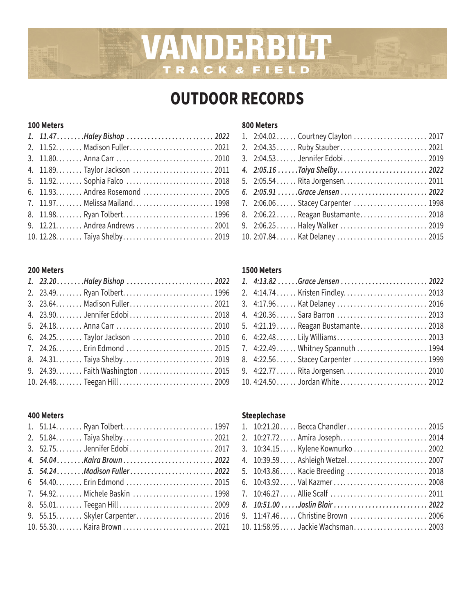# VANDERBILT TRACK & FIELD

# **OUTDOOR RECORDS**

### **100 Meters**

| 1. 11.47Haley Bishop  2022        |  |
|-----------------------------------|--|
|                                   |  |
|                                   |  |
|                                   |  |
|                                   |  |
|                                   |  |
| 7. 11.97.  Melissa Mailand.  1998 |  |
|                                   |  |
|                                   |  |
|                                   |  |

## **200 Meters**

| 1. 23.20Haley Bishop  2022 |  |
|----------------------------|--|
|                            |  |
|                            |  |
|                            |  |
|                            |  |
|                            |  |
|                            |  |
|                            |  |
|                            |  |
|                            |  |

### **400 Meters**

| 5. 54.24Madison Fuller 2022     |  |
|---------------------------------|--|
|                                 |  |
| 7. 54.92.  Michele Baskin  1998 |  |
|                                 |  |
|                                 |  |
|                                 |  |
|                                 |  |

### **800 Meters**

| 1. 2:04.02 Courtney Clayton  2017 |  |
|-----------------------------------|--|
| 2. 2:04.35 Ruby Stauber 2021      |  |
| 3. 2:04.53  Jennifer Edobi 2019   |  |
| 4. 2:05.16  Taiya Shelby 2022     |  |
| 5. 2:05.54 Rita Jorgensen 2011    |  |
| 6. 2:05.91 Grace Jensen  2022     |  |
| 7. 2:06.06 Stacey Carpenter  1998 |  |
| 8. 2:06.22 Reagan Bustamante 2018 |  |
| 9. 2:06.25 Haley Walker  2019     |  |
| 10. 2:07.84 Kat Delaney  2015     |  |

### **1500 Meters**

| 1. 4:13.82 Grace Jensen  2022     |  |
|-----------------------------------|--|
|                                   |  |
| 3. 4:17.96 Kat Delaney  2016      |  |
| 4. 4:20.36 Sara Barron  2013      |  |
| 5. 4:21.19 Reagan Bustamante 2018 |  |
|                                   |  |
|                                   |  |
| 8. 4:22.56 Stacey Carpenter  1999 |  |
| 9. 4:22.77  Rita Jorgensen 2010   |  |
|                                   |  |

# **Steeplechase**

| 1. 10:21.20 Becca Chandler 2015   |  |
|-----------------------------------|--|
| 2. 10:27.72 Amira Joseph 2014     |  |
| 3. 10:34.15 Kylene Kownurko  2002 |  |
| 4. 10:39.59 Ashleigh Wetzel 2007  |  |
| 5. 10:43.86 Kacie Breeding  2018  |  |
| 6. 10:43.92 Val Kazmer 2008       |  |
| 7. 10:46.27 Allie Scalf  2011     |  |
| 8. 10:51.00  Joslin Blair  2022   |  |
| 9. 11:47.46 Christine Brown  2006 |  |
| 10. 11:58.95 Jackie Wachsman 2003 |  |
|                                   |  |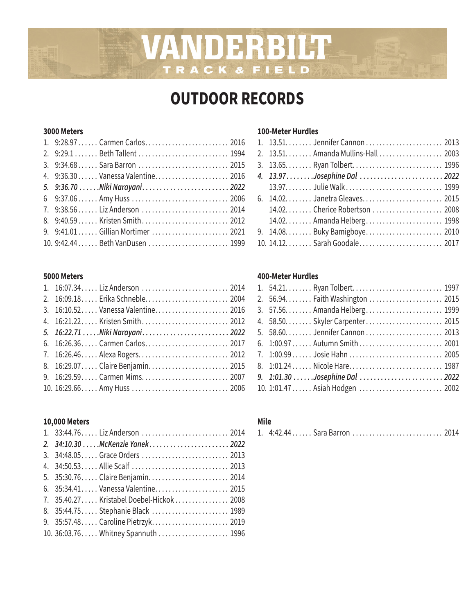# **OUTDOOR RECORDS**

VANDERBILT

TRACK & FIELD

### **3000 Meters**

| 1. 9:28.97  Carmen Carlos 2016    |  |
|-----------------------------------|--|
|                                   |  |
| 3. 9:34.68 Sara Barron  2015      |  |
| 4. 9:36.30 Vanessa Valentine 2016 |  |
| 5. 9:36.70 Niki Narayani 2022     |  |
|                                   |  |
| 7. 9:38.56 Liz Anderson  2014     |  |
|                                   |  |
| 9. 9:41.01 Gillian Mortimer  2021 |  |
| 10. 9:42.44  Beth VanDusen  1999  |  |

### **5000 Meters**

| 1. 16:07.34 Liz Anderson  2014     |  |
|------------------------------------|--|
| 2. 16:09.18 Erika Schneble 2004    |  |
| 3. 16:10.52 Vanessa Valentine 2016 |  |
|                                    |  |
| 5. 16:22.71  Niki Narayani 2022    |  |
| 6. 16:26.36 Carmen Carlos 2017     |  |
| 7. 16:26.46 Alexa Rogers 2012      |  |
| 8. 16:29.07 Claire Benjamin 2015   |  |
| 9. 16:29.59 Carmen Mims 2007       |  |
|                                    |  |
|                                    |  |

## **10,000 Meters**

| 1. 33:44.76 Liz Anderson  2014            |  |
|-------------------------------------------|--|
| 2. 34:10.30 McKenzie Yanek 2022           |  |
| 3. 34:48.05 Grace Orders  2013            |  |
|                                           |  |
| 5. 35:30.76 Claire Benjamin 2014          |  |
| 6. 35:34.41 Vanessa Valentine 2015        |  |
| 7. 35.40.27 Kristabel Doebel-Hickok  2008 |  |
| 8. 35:44.75 Stephanie Black  1989         |  |
| 9. 35:57.48 Caroline Pietrzyk 2019        |  |
| 10. 36:03.76 Whitney Spannuth  1996       |  |

### **100-Meter Hurdles**

### **400-Meter Hurdles**

| 6. 1:00.97  Autumn Smith  2001  |
|---------------------------------|
| 7. 1:00.99 Josie Hahn  2005     |
| 8. 1:01.24  Nicole Hare 1987    |
| 9. 1:01.30 Josephine Dal  2022  |
| 10. 1:01.47  Asiah Hodgen  2002 |

# **Mile**

|  |  |  | 1. 4:42.44 Sara Barron  2014 |  |
|--|--|--|------------------------------|--|
|--|--|--|------------------------------|--|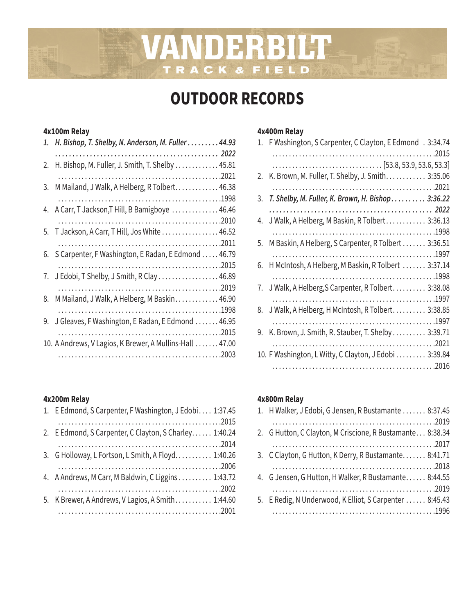# **OUTDOOR RECORDS**

VANDERBILT

TRACK & FIELD

## **4x100m Relay**

| 1. | H. Bishop, T. Shelby, N. Anderson, M. Fuller 44.93      |  |
|----|---------------------------------------------------------|--|
|    |                                                         |  |
| 2. | H. Bishop, M. Fuller, J. Smith, T. Shelby  45.81        |  |
|    |                                                         |  |
| 3. | M Mailand, J Walk, A Helberg, R Tolbert 46.38           |  |
|    |                                                         |  |
|    | 4. A Carr, T Jackson, T Hill, B Bamigboye  46.46        |  |
|    |                                                         |  |
|    | 5. T Jackson, A Carr, T Hill, Jos White  46.52          |  |
|    |                                                         |  |
|    | 6. S Carpenter, F Washington, E Radan, E Edmond  46.79  |  |
|    |                                                         |  |
| 7. | J Edobi, T Shelby, J Smith, R Clay  46.89               |  |
|    |                                                         |  |
| 8. | M Mailand, J Walk, A Helberg, M Baskin 46.90            |  |
|    |                                                         |  |
| 9. | J Gleaves, F Washington, E Radan, E Edmond  46.95       |  |
|    |                                                         |  |
|    | 10. A Andrews, V Lagios, K Brewer, A Mullins-Hall 47.00 |  |
|    |                                                         |  |

# **4x200m Relay**

| 1. E Edmond, S Carpenter, F Washington, J Edobi 1:37.45 |
|---------------------------------------------------------|
|                                                         |
| 2. E Edmond, S Carpenter, C Clayton, S Charley 1:40.24  |
|                                                         |
| 3. G Holloway, L Fortson, L Smith, A Floyd 1:40.26      |
|                                                         |
| 4. A Andrews, M Carr, M Baldwin, C Liggins 1:43.72      |
|                                                         |
| 5. K Brewer, A Andrews, V Lagios, A Smith 1:44.60       |
|                                                         |

# **4x400m Relay**

| 1. | F Washington, S Carpenter, C Clayton, E Edmond . 3:34.74 |
|----|----------------------------------------------------------|
|    |                                                          |
|    |                                                          |
| 2. | K. Brown, M. Fuller, T. Shelby, J. Smith. 3:35.06        |
|    |                                                          |
| 3. | T. Shelby, M. Fuller, K. Brown, H. Bishop. 3:36.22       |
|    |                                                          |
| 4. | J Walk, A Helberg, M Baskin, R Tolbert 3:36.13           |
|    |                                                          |
| 5. | M Baskin, A Helberg, S Carpenter, R Tolbert 3:36.51      |
|    |                                                          |
| 6. | H McIntosh, A Helberg, M Baskin, R Tolbert  3:37.14      |
|    |                                                          |
|    | 7. J Walk, A Helberg, S Carpenter, R Tolbert 3:38.08     |
|    |                                                          |
| 8. | J Walk, A Helberg, H McIntosh, R Tolbert 3:38.85         |
|    |                                                          |
| 9. | K. Brown, J. Smith, R. Stauber, T. Shelby 3:39.71        |
|    |                                                          |
|    | 10. F Washington, L Witty, C Clayton, J Edobi 3:39.84    |
|    |                                                          |

## **4x800m Relay**

| 1. H Walker, J Edobi, G Jensen, R Bustamante  8:37.45     |
|-----------------------------------------------------------|
|                                                           |
| 2. G Hutton, C Clayton, M Criscione, R Bustamante 8:38.34 |
|                                                           |
| 3. C Clayton, G Hutton, K Derry, R Bustamante 8:41.71     |
|                                                           |
| 4. G Jensen, G Hutton, H Walker, R Bustamante 8:44.55     |
|                                                           |
| 5. E Redig, N Underwood, K Elliot, S Carpenter  8:45.43   |
|                                                           |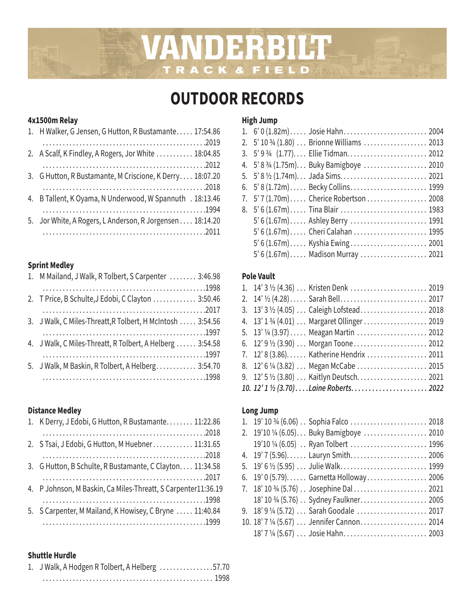# VANDERBILT CK&FIELD TRA

# **OUTDOOR RECORDS**

# **4x1500m Relay**

| 1. H Walker, G Jensen, G Hutton, R Bustamante 17:54.86    |
|-----------------------------------------------------------|
|                                                           |
| 2. A Scalf, K Findley, A Rogers, Jor White  18:04.85      |
|                                                           |
| 3. G Hutton, R Bustamante, M Criscione, K Derry 18:07.20  |
|                                                           |
| 4. B Tallent, K Oyama, N Underwood, W Spannuth . 18:13.46 |
|                                                           |
| 5. Jor White, A Rogers, L Anderson, R Jorgensen 18:14.20  |
|                                                           |
|                                                           |

# **Sprint Medley**

| 1. M Mailand, J Walk, R Tolbert, S Carpenter  3:46.98      |  |
|------------------------------------------------------------|--|
|                                                            |  |
| 2. T Price, B Schulte, J Edobi, C Clayton  3:50.46         |  |
|                                                            |  |
| 3. J Walk, C Miles-Threatt, R Tolbert, H McIntosh  3:54.56 |  |
|                                                            |  |
| 4. J Walk, C Miles-Threatt, R Tolbert, A Helberg  3:54.58  |  |
|                                                            |  |
| 5. J Walk, M Baskin, R Tolbert, A Helberg 3:54.70          |  |
|                                                            |  |
|                                                            |  |

# **Distance Medley**

| 1. K Derry, J Edobi, G Hutton, R Bustamante 11:22.86          |
|---------------------------------------------------------------|
|                                                               |
| 2. S Tsai, J Edobi, G Hutton, M Huebner 11:31.65              |
|                                                               |
| 3. G Hutton, B Schulte, R Bustamante, C Clayton. 11:34.58     |
|                                                               |
| 4. P Johnson, M Baskin, Ca Miles-Threatt, S Carpenter11:36.19 |
|                                                               |
| 5. S Carpenter, M Mailand, K Howisey, C Bryne  11:40.84       |
|                                                               |
|                                                               |

## **Shuttle Hurdle**

| 1. J Walk, A Hodgen R Tolbert, A Helberg 57.70 |  |
|------------------------------------------------|--|
|                                                |  |

# **High Jump**

| 1. 6' 0 (1.82m) Josie Hahn 2004          |
|------------------------------------------|
|                                          |
| 3. 5' 9 3/4 (1.77) Ellie Tidman 2012     |
| 4. 5' 8 3/4 (1.75m) Buky Bamigboye  2010 |
|                                          |
| 6. 5' 8 (1.72m) Becky Collins 1999       |
| 7. 5' 7 (1.70m)  Cherice Robertson  2008 |
| 8. 5' 6 (1.67m) Tina Blair  1983         |
| 5' 6 (1.67m)  Ashley Berry  1991         |
| 5' 6 (1.67m)  Cheri Calahan  1995        |
| 5' 6 (1.67m)  Kyshia Ewing  2001         |
| 5' 6 (1.67m)  Madison Murray  2021       |

# **Pole Vault**

|  | 3. 13' 3 1/2 (4.05) Caleigh Lofstead 2018    |  |
|--|----------------------------------------------|--|
|  | 4. 13' 1 3/4 (4.01)  Margaret Ollinger  2019 |  |
|  | 5. 13' 1/4 (3.97)  Meagan Martin  2012       |  |
|  | 6. 12' 9 1/2 (3.90)  Morgan Toone 2012       |  |
|  | 7. 12' 8 (3.86) Katherine Hendrix  2011      |  |
|  |                                              |  |
|  | 9. 12' 5 1/2 (3.80)  Kaitlyn Deutsch 2021    |  |
|  | 10. 12' 1 1/2 (3.70)Laine Roberts 2022       |  |

# **Long Jump**

|  | 2. 19'10 1/4 (6.05) Buky Bamigboye  2010   |  |
|--|--------------------------------------------|--|
|  | 19'10 1/4 (6.05) . Ryan Tolbert  1996      |  |
|  | 4. 19' 7 (5.96) Lauryn Smith 2006          |  |
|  |                                            |  |
|  | 6. 19' 0 (5.79) Garnetta Holloway 2006     |  |
|  |                                            |  |
|  | 18' 10 3/4 (5.76) Sydney Faulkner. 2005    |  |
|  | 9. 18' 9 1/4 (5.72)  Sarah Goodale  2017   |  |
|  | 10. 18' 7 1/4 (5.67)  Jennifer Cannon 2014 |  |
|  | 18' 7 1/4 (5.67)  Josie Hahn 2003          |  |
|  |                                            |  |